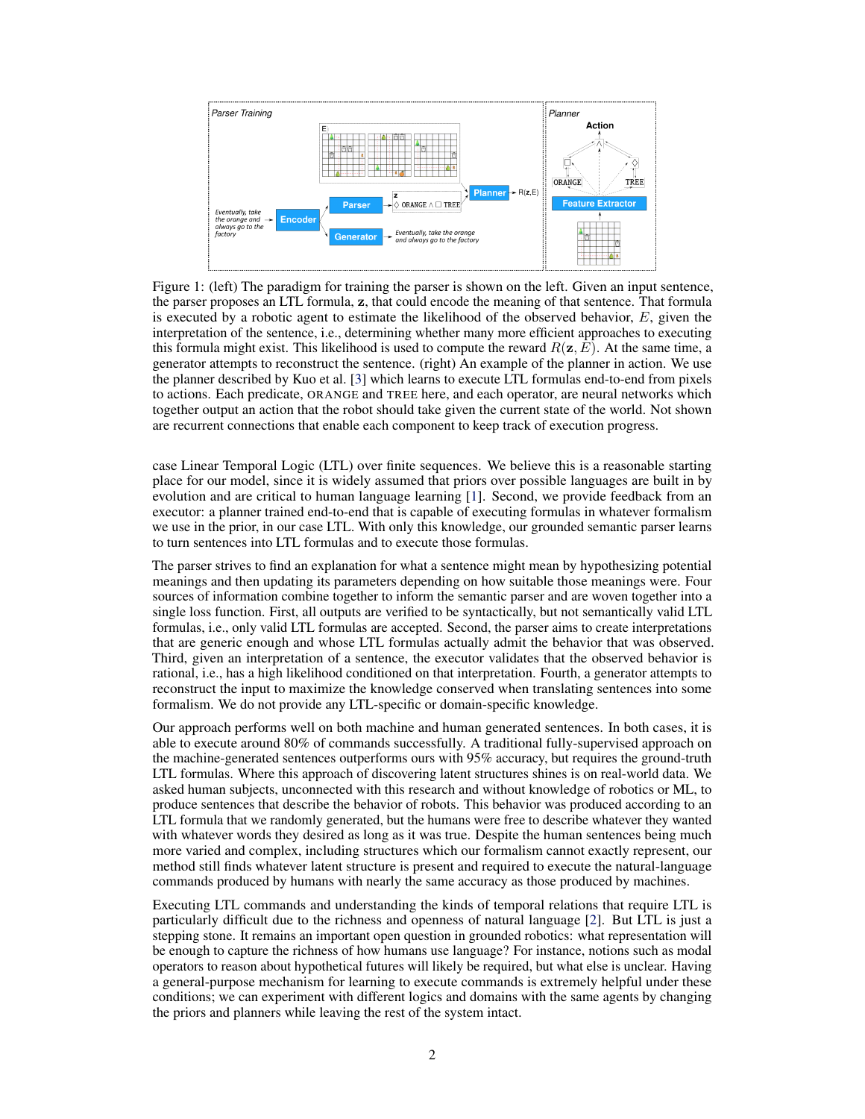# Learning a natural-language to LTL executable semantic parser for grounded robotics

Christopher Wang MIT CSAIL & CBMM czw@mit.edu

Candace Ross MIT CSAIL & CBMM ccross@mit.edu

Yen-Ling Kuo MIT CSAIL & CBMM ylkuo@mit.edu

Boris Katz MIT CSAIL & CBMM boris@mit.edu

Andrei Barbu MIT CSAIL & CBMM abarbu@mit.edu

Abstract: Children acquire their native language with apparent ease by observing how language is used in context and attempting to use it themselves. They do so without laborious annotations, negative examples, or even direct corrections. We take a step toward robots that can do the same by training a grounded semantic parser, which discovers latent linguistic representations that can be used for the execution of natural-language commands. In particular, we focus on the difficult domain of commands with a temporal aspect, whose semantics we capture with Linear Temporal Logic, LTL. Our parser is trained with pairs of sentences and executions as well as an executor. At training time, the parser hypothesizes a meaning representation for the input as a formula in LTL. Three competing pressures allow the parser to discover meaning from language. First, any hypothesized meaning for a sentence must be permissive enough to reflect all the annotated execution trajectories. Second, the executor — a pretrained end-to-end LTL planner — must find that the observed trajectories are likely executions of the meaning. Finally, a generator, which reconstructs the original input, encourages the model to find representations that conserve knowledge about the command. Together these ensure that the meaning is neither too general nor too specific. Our model generalizes well, being able to parse and execute both machine-generated and human-generated commands, with near-equal accuracy, despite the fact that the human-generated sentences are much more varied and complex with an open lexicon. The approach presented here is not specific to LTL: it can be applied to any domain where sentence meanings can be hypothesized and an executor can verify these meanings, thus opening the door to many applications for robotic agents.

Keywords: LTL, semantic parsing, weak supervision

# 1 Introduction

Natural language has the potential to be the most effective and convenient way to issue commands to a robot. However, machine acquisition of language is difficult due to the context- and speaker-specific variations that exist in natural language. For instance, English usage differs widely throughout the world: between children and adults, and in businesses vs. in homes. This does not pose a significant challenge to human listeners because we acquire language by observing how others use it and then attempting to use it ourselves. Upon observing the language use of other humans, we discover the latent structure of the language being spoken. We develop a similar approach for machines.

Our grounded semantic parser learns the latent structure of natural language utterances. This knowledge is executable and can be used by a planner to run commands. The parser only observes how language is used: what was said i.e., the command, and what was done in response i.e., a trajectory in the configuration space of an agent. We provide two additional resources to the parser, which children also have access to. First, we build in an inductive bias for a particular logic, in our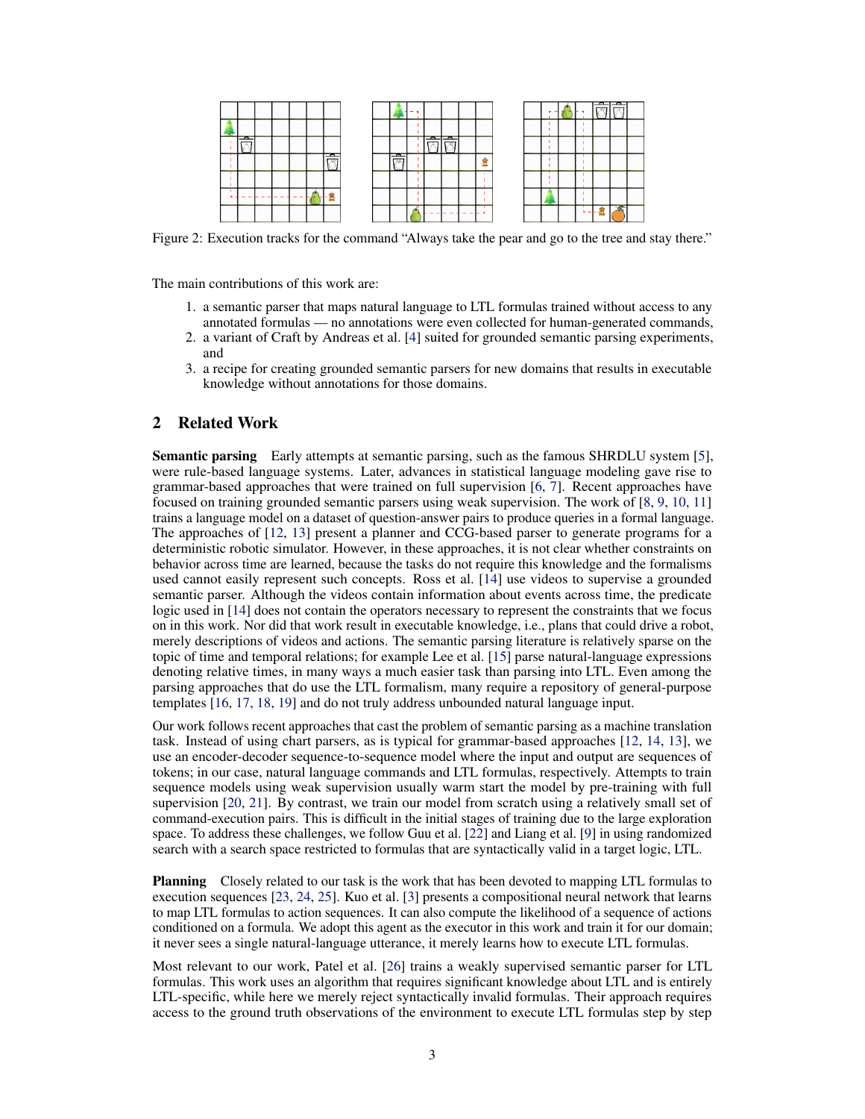<span id="page-2-0"></span>

Figure 1: (left) The paradigm for training the parser is shown on the left. Given an input sentence, the parser proposes an LTL formula, z, that could encode the meaning of that sentence. That formula is executed by a robotic agent to estimate the likelihood of the observed behavior,  $E$ , given the interpretation of the sentence, i.e., determining whether many more efficient approaches to executing this formula might exist. This likelihood is used to compute the reward  $R(z, E)$ . At the same time, a generator attempts to reconstruct the sentence. (right) An example of the planner in action. We use the planner described by Kuo et al. [\[3\]](#page-9-0) which learns to execute LTL formulas end-to-end from pixels to actions. Each predicate, ORANGE and TREE here, and each operator, are neural networks which together output an action that the robot should take given the current state of the world. Not shown are recurrent connections that enable each component to keep track of execution progress.

case Linear Temporal Logic (LTL) over finite sequences. We believe this is a reasonable starting place for our model, since it is widely assumed that priors over possible languages are built in by evolution and are critical to human language learning [\[1\]](#page-9-0). Second, we provide feedback from an executor: a planner trained end-to-end that is capable of executing formulas in whatever formalism we use in the prior, in our case LTL. With only this knowledge, our grounded semantic parser learns to turn sentences into LTL formulas and to execute those formulas.

The parser strives to find an explanation for what a sentence might mean by hypothesizing potential meanings and then updating its parameters depending on how suitable those meanings were. Four sources of information combine together to inform the semantic parser and are woven together into a single loss function. First, all outputs are verified to be syntactically, but not semantically valid LTL formulas, i.e., only valid LTL formulas are accepted. Second, the parser aims to create interpretations that are generic enough and whose LTL formulas actually admit the behavior that was observed. Third, given an interpretation of a sentence, the executor validates that the observed behavior is rational, i.e., has a high likelihood conditioned on that interpretation. Fourth, a generator attempts to reconstruct the input to maximize the knowledge conserved when translating sentences into some formalism. We do not provide any LTL-specific or domain-specific knowledge.

Our approach performs well on both machine and human generated sentences. In both cases, it is able to execute around 80% of commands successfully. A traditional fully-supervised approach on the machine-generated sentences outperforms ours with 95% accuracy, but requires the ground-truth LTL formulas. Where this approach of discovering latent structures shines is on real-world data. We asked human subjects, unconnected with this research and without knowledge of robotics or ML, to produce sentences that describe the behavior of robots. This behavior was produced according to an LTL formula that we randomly generated, but the humans were free to describe whatever they wanted with whatever words they desired as long as it was true. Despite the human sentences being much more varied and complex, including structures which our formalism cannot exactly represent, our method still finds whatever latent structure is present and required to execute the natural-language commands produced by humans with nearly the same accuracy as those produced by machines.

Executing LTL commands and understanding the kinds of temporal relations that require LTL is particularly difficult due to the richness and openness of natural language [\[2\]](#page-9-0). But LTL is just a stepping stone. It remains an important open question in grounded robotics: what representation will be enough to capture the richness of how humans use language? For instance, notions such as modal operators to reason about hypothetical futures will likely be required, but what else is unclear. Having a general-purpose mechanism for learning to execute commands is extremely helpful under these conditions; we can experiment with different logics and domains with the same agents by changing the priors and planners while leaving the rest of the system intact.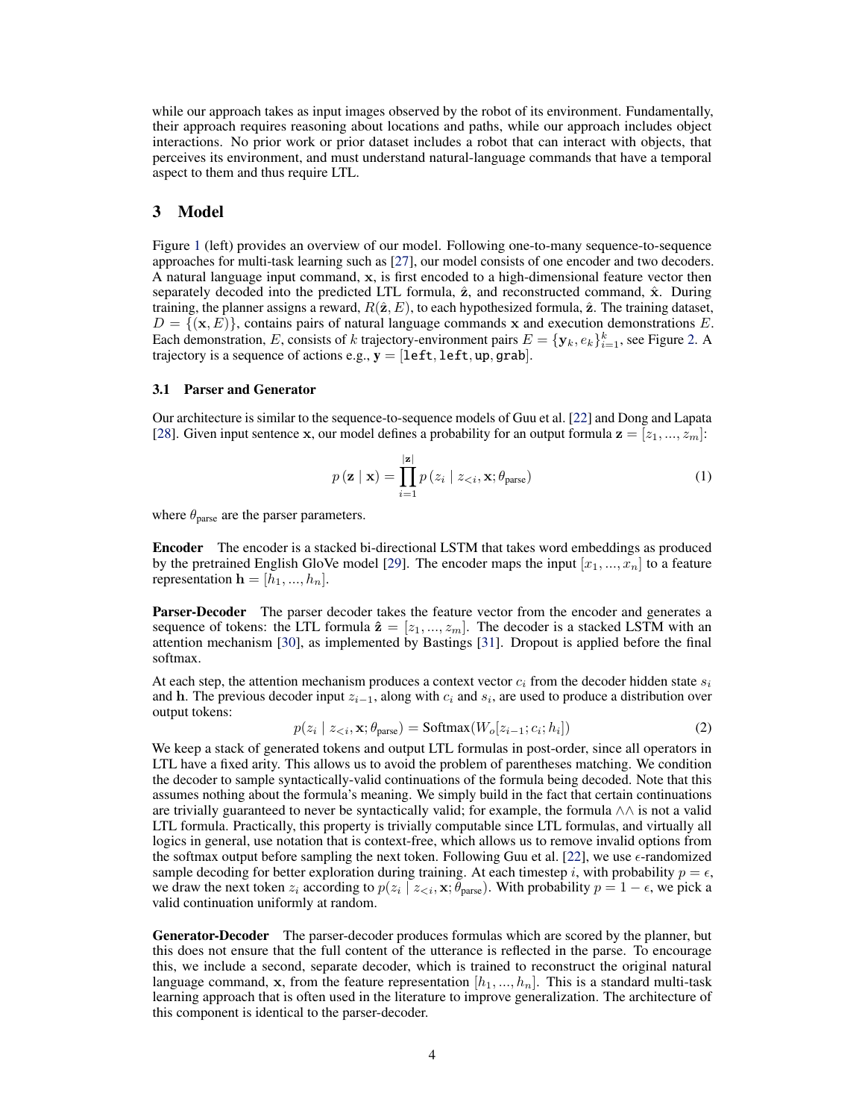<span id="page-3-0"></span>

|   |          |     |   |  |                          |                          |                          |   |  |     |     | -          | − |  |
|---|----------|-----|---|--|--------------------------|--------------------------|--------------------------|---|--|-----|-----|------------|---|--|
|   |          |     |   |  |                          |                          |                          |   |  |     |     |            |   |  |
| ≖ |          |     |   |  |                          | $\overline{\phantom{a}}$ | $\overline{\phantom{a}}$ |   |  |     |     |            |   |  |
|   |          |     | ᠴ |  | $\overline{\phantom{a}}$ |                          |                          | ₩ |  |     |     |            |   |  |
|   |          |     |   |  |                          |                          |                          |   |  |     |     |            |   |  |
|   | -------- | - - | 县 |  |                          |                          |                          |   |  | $-$ |     |            |   |  |
|   |          |     |   |  |                          |                          | ---------                |   |  |     | . . | ۰.<br>48.4 |   |  |

Figure 2: Execution tracks for the command "Always take the pear and go to the tree and stay there."

The main contributions of this work are:

- 1. a semantic parser that maps natural language to LTL formulas trained without access to any annotated formulas — no annotations were even collected for human-generated commands,
- 2. a variant of Craft by Andreas et al. [\[4\]](#page-9-0) suited for grounded semantic parsing experiments, and
- 3. a recipe for creating grounded semantic parsers for new domains that results in executable knowledge without annotations for those domains.

### 2 Related Work

Semantic parsing Early attempts at semantic parsing, such as the famous SHRDLU system [\[5\]](#page-9-0), were rule-based language systems. Later, advances in statistical language modeling gave rise to grammar-based approaches that were trained on full supervision [\[6,](#page-9-0) [7\]](#page-9-0). Recent approaches have focused on training grounded semantic parsers using weak supervision. The work of [\[8,](#page-9-0) [9,](#page-9-0) [10,](#page-9-0) [11\]](#page-9-0) trains a language model on a dataset of question-answer pairs to produce queries in a formal language. The approaches of [\[12,](#page-9-0) [13\]](#page-9-0) present a planner and CCG-based parser to generate programs for a deterministic robotic simulator. However, in these approaches, it is not clear whether constraints on behavior across time are learned, because the tasks do not require this knowledge and the formalisms used cannot easily represent such concepts. Ross et al. [\[14\]](#page-9-0) use videos to supervise a grounded semantic parser. Although the videos contain information about events across time, the predicate logic used in [\[14\]](#page-9-0) does not contain the operators necessary to represent the constraints that we focus on in this work. Nor did that work result in executable knowledge, i.e., plans that could drive a robot, merely descriptions of videos and actions. The semantic parsing literature is relatively sparse on the topic of time and temporal relations; for example Lee et al. [\[15\]](#page-9-0) parse natural-language expressions denoting relative times, in many ways a much easier task than parsing into LTL. Even among the parsing approaches that do use the LTL formalism, many require a repository of general-purpose templates [\[16,](#page-9-0) [17,](#page-9-0) [18,](#page-9-0) [19\]](#page-9-0) and do not truly address unbounded natural language input.

Our work follows recent approaches that cast the problem of semantic parsing as a machine translation task. Instead of using chart parsers, as is typical for grammar-based approaches [\[12,](#page-9-0) [14,](#page-9-0) [13\]](#page-9-0), we use an encoder-decoder sequence-to-sequence model where the input and output are sequences of tokens; in our case, natural language commands and LTL formulas, respectively. Attempts to train sequence models using weak supervision usually warm start the model by pre-training with full supervision [\[20,](#page-10-0) [21\]](#page-10-0). By contrast, we train our model from scratch using a relatively small set of command-execution pairs. This is difficult in the initial stages of training due to the large exploration space. To address these challenges, we follow Guu et al. [\[22\]](#page-10-0) and Liang et al. [\[9\]](#page-9-0) in using randomized search with a search space restricted to formulas that are syntactically valid in a target logic, LTL.

**Planning** Closely related to our task is the work that has been devoted to mapping LTL formulas to execution sequences [\[23,](#page-10-0) [24,](#page-10-0) [25\]](#page-10-0). Kuo et al. [\[3\]](#page-9-0) presents a compositional neural network that learns to map LTL formulas to action sequences. It can also compute the likelihood of a sequence of actions conditioned on a formula. We adopt this agent as the executor in this work and train it for our domain; it never sees a single natural-language utterance, it merely learns how to execute LTL formulas.

Most relevant to our work, Patel et al. [\[26\]](#page-10-0) trains a weakly supervised semantic parser for LTL formulas. This work uses an algorithm that requires significant knowledge about LTL and is entirely LTL-specific, while here we merely reject syntactically invalid formulas. Their approach requires access to the ground truth observations of the environment to execute LTL formulas step by step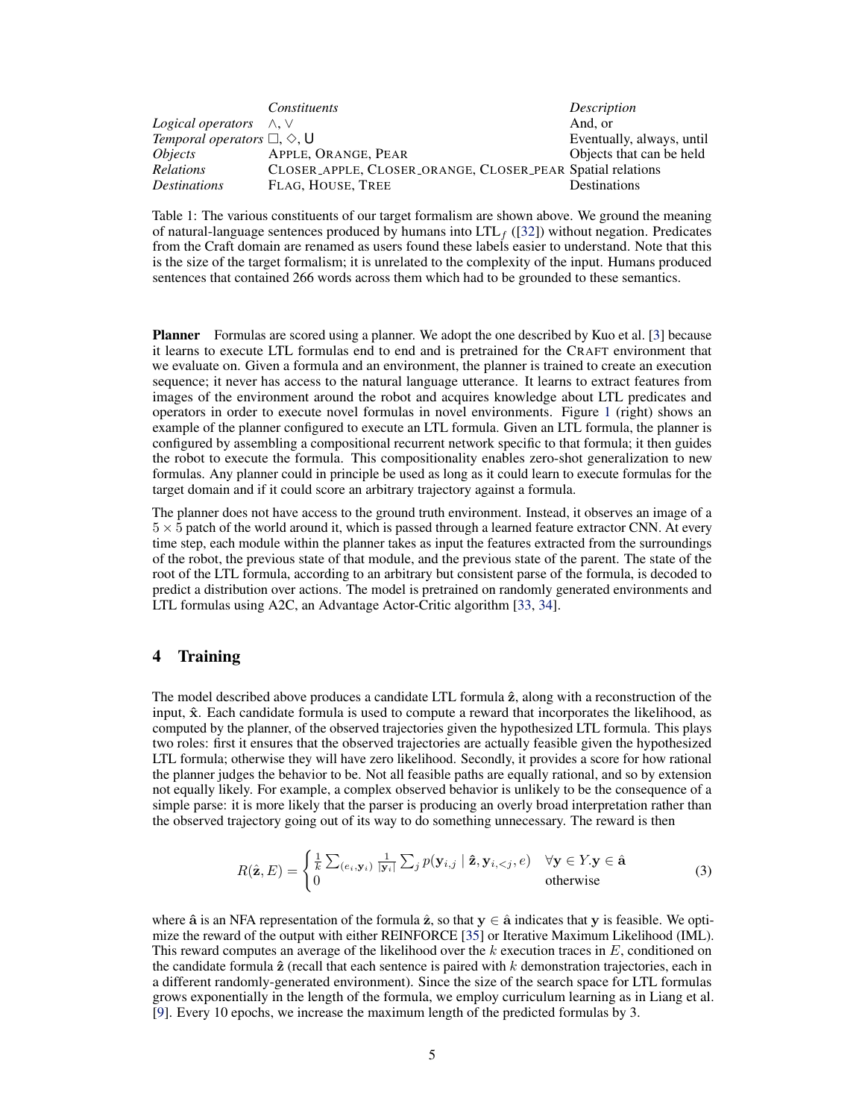<span id="page-4-0"></span>while our approach takes as input images observed by the robot of its environment. Fundamentally, their approach requires reasoning about locations and paths, while our approach includes object interactions. No prior work or prior dataset includes a robot that can interact with objects, that perceives its environment, and must understand natural-language commands that have a temporal aspect to them and thus require LTL.

# 3 Model

Figure [1](#page-2-0) (left) provides an overview of our model. Following one-to-many sequence-to-sequence approaches for multi-task learning such as [\[27\]](#page-10-0), our model consists of one encoder and two decoders. A natural language input command, x, is first encoded to a high-dimensional feature vector then separately decoded into the predicted LTL formula,  $\hat{z}$ , and reconstructed command,  $\hat{x}$ . During training, the planner assigns a reward,  $R(\hat{\mathbf{z}}, E)$ , to each hypothesized formula,  $\hat{\mathbf{z}}$ . The training dataset,  $D = \{(\mathbf{x}, E)\}\$ , contains pairs of natural language commands x and execution demonstrations E. Each demonstration, E, consists of k trajectory-environment pairs  $E = {\mathbf{y}_k, e_k}_{i=1}^k$ , see Figure [2.](#page-3-0) A trajectory is a sequence of actions e.g.,  $y = [left, left, up, grab]$ .

#### 3.1 Parser and Generator

Our architecture is similar to the sequence-to-sequence models of Guu et al. [\[22\]](#page-10-0) and Dong and Lapata [\[28\]](#page-10-0). Given input sentence x, our model defines a probability for an output formula  $z = [z_1, ..., z_m]$ :

$$
p(\mathbf{z} \mid \mathbf{x}) = \prod_{i=1}^{|\mathbf{z}|} p(z_i \mid z_{< i}, \mathbf{x}; \theta_{\text{parse}})
$$
\n(1)

where  $\theta_{\text{parse}}$  are the parser parameters.

Encoder The encoder is a stacked bi-directional LSTM that takes word embeddings as produced by the pretrained English GloVe model [\[29\]](#page-10-0). The encoder maps the input  $[x_1, ..., x_n]$  to a feature representation  $\mathbf{h} = [h_1, ..., h_n]$ .

Parser-Decoder The parser decoder takes the feature vector from the encoder and generates a sequence of tokens: the LTL formula  $\hat{\mathbf{z}} = [z_1, ..., z_m]$ . The decoder is a stacked LSTM with an attention mechanism [\[30\]](#page-10-0), as implemented by Bastings [\[31\]](#page-10-0). Dropout is applied before the final softmax.

At each step, the attention mechanism produces a context vector  $c_i$  from the decoder hidden state  $s_i$ and h. The previous decoder input  $z_{i-1}$ , along with  $c_i$  and  $s_i$ , are used to produce a distribution over output tokens:

$$
p(z_i \mid z_{\leq i}, \mathbf{x}; \theta_{\text{parse}}) = \text{Softmax}(W_o[z_{i-1}; c_i; h_i])
$$
\n(2)

We keep a stack of generated tokens and output LTL formulas in post-order, since all operators in LTL have a fixed arity. This allows us to avoid the problem of parentheses matching. We condition the decoder to sample syntactically-valid continuations of the formula being decoded. Note that this assumes nothing about the formula's meaning. We simply build in the fact that certain continuations are trivially guaranteed to never be syntactically valid; for example, the formula ∧∧ is not a valid LTL formula. Practically, this property is trivially computable since LTL formulas, and virtually all logics in general, use notation that is context-free, which allows us to remove invalid options from the softmax output before sampling the next token. Following Guu et al. [\[22\]](#page-10-0), we use  $\epsilon$ -randomized sample decoding for better exploration during training. At each timestep i, with probability  $p = \epsilon$ , we draw the next token  $z_i$  according to  $p(z_i | z_{\leq i}, \mathbf{x}; \theta_{\text{parse}})$ . With probability  $p = 1 - \epsilon$ , we pick a valid continuation uniformly at random.

Generator-Decoder The parser-decoder produces formulas which are scored by the planner, but this does not ensure that the full content of the utterance is reflected in the parse. To encourage this, we include a second, separate decoder, which is trained to reconstruct the original natural language command, x, from the feature representation  $[h_1, ..., h_n]$ . This is a standard multi-task learning approach that is often used in the literature to improve generalization. The architecture of this component is identical to the parser-decoder.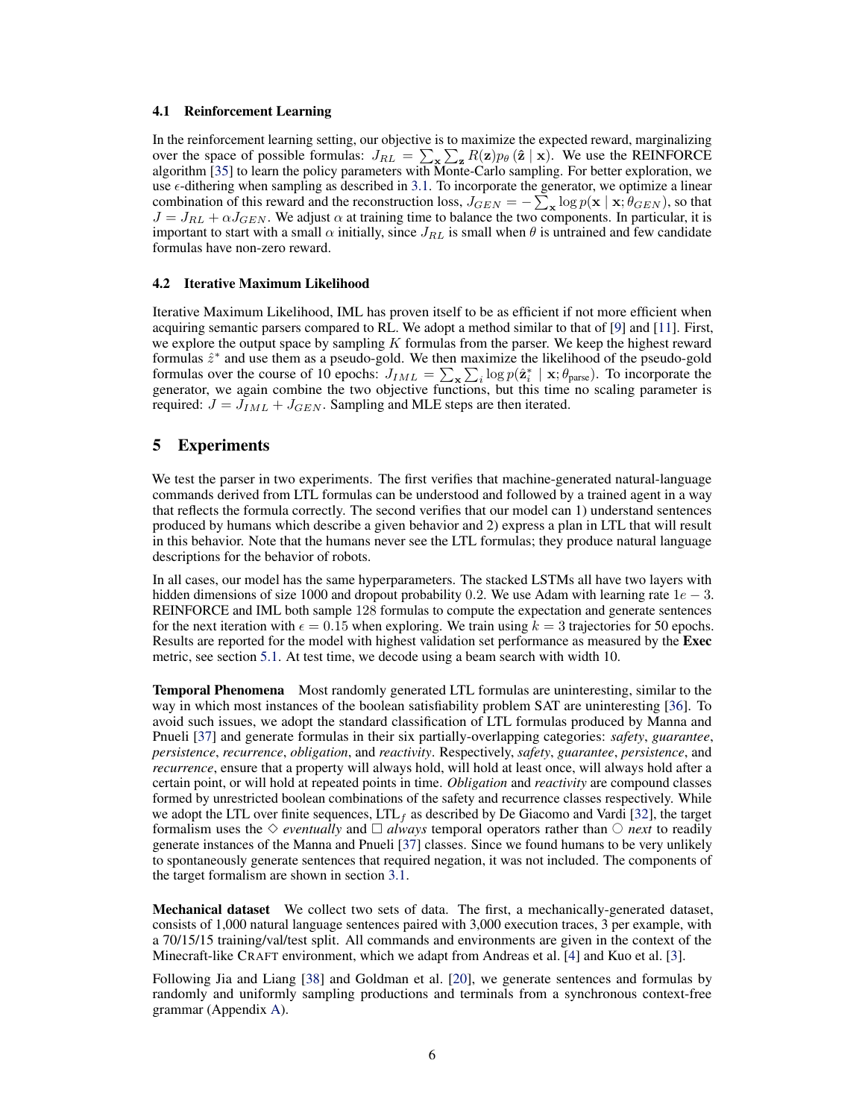<span id="page-5-0"></span>

|                                                 | Constituents                                               | Description               |
|-------------------------------------------------|------------------------------------------------------------|---------------------------|
| <i>Logical operators</i> $\land$ , $\lor$       |                                                            | And. or                   |
| Temporal operators $\Box, \Diamond, \mathsf{U}$ |                                                            | Eventually, always, until |
| <i>Objects</i>                                  | APPLE, ORANGE, PEAR                                        | Objects that can be held  |
| <b>Relations</b>                                | CLOSER_APPLE, CLOSER_ORANGE, CLOSER_PEAR Spatial relations |                           |
| <i>Destinations</i>                             | FLAG, HOUSE, TREE                                          | Destinations              |

Table 1: The various constituents of our target formalism are shown above. We ground the meaning of natural-language sentences produced by humans into  $LTL_f$  ([\[32\]](#page-10-0)) without negation. Predicates from the Craft domain are renamed as users found these labels easier to understand. Note that this is the size of the target formalism; it is unrelated to the complexity of the input. Humans produced sentences that contained 266 words across them which had to be grounded to these semantics.

Planner Formulas are scored using a planner. We adopt the one described by Kuo et al. [\[3\]](#page-9-0) because it learns to execute LTL formulas end to end and is pretrained for the CRAFT environment that we evaluate on. Given a formula and an environment, the planner is trained to create an execution sequence; it never has access to the natural language utterance. It learns to extract features from images of the environment around the robot and acquires knowledge about LTL predicates and operators in order to execute novel formulas in novel environments. Figure [1](#page-2-0) (right) shows an example of the planner configured to execute an LTL formula. Given an LTL formula, the planner is configured by assembling a compositional recurrent network specific to that formula; it then guides the robot to execute the formula. This compositionality enables zero-shot generalization to new formulas. Any planner could in principle be used as long as it could learn to execute formulas for the target domain and if it could score an arbitrary trajectory against a formula.

The planner does not have access to the ground truth environment. Instead, it observes an image of a  $5 \times 5$  patch of the world around it, which is passed through a learned feature extractor CNN. At every time step, each module within the planner takes as input the features extracted from the surroundings of the robot, the previous state of that module, and the previous state of the parent. The state of the root of the LTL formula, according to an arbitrary but consistent parse of the formula, is decoded to predict a distribution over actions. The model is pretrained on randomly generated environments and LTL formulas using A2C, an Advantage Actor-Critic algorithm [\[33,](#page-10-0) [34\]](#page-10-0).

# 4 Training

The model described above produces a candidate LTL formula  $\hat{z}$ , along with a reconstruction of the input,  $\hat{x}$ . Each candidate formula is used to compute a reward that incorporates the likelihood, as computed by the planner, of the observed trajectories given the hypothesized LTL formula. This plays two roles: first it ensures that the observed trajectories are actually feasible given the hypothesized LTL formula; otherwise they will have zero likelihood. Secondly, it provides a score for how rational the planner judges the behavior to be. Not all feasible paths are equally rational, and so by extension not equally likely. For example, a complex observed behavior is unlikely to be the consequence of a simple parse: it is more likely that the parser is producing an overly broad interpretation rather than the observed trajectory going out of its way to do something unnecessary. The reward is then

$$
R(\hat{\mathbf{z}}, E) = \begin{cases} \frac{1}{k} \sum_{(e_i, \mathbf{y}_i)} \frac{1}{|\mathbf{y}_i|} \sum_j p(\mathbf{y}_{i,j} | \hat{\mathbf{z}}, \mathbf{y}_{i, < j}, e) & \forall \mathbf{y} \in Y, \mathbf{y} \in \hat{\mathbf{a}}\\ 0 & \text{otherwise} \end{cases} \tag{3}
$$

where  $\hat{a}$  is an NFA representation of the formula  $\hat{z}$ , so that  $y \in \hat{a}$  indicates that y is feasible. We optimize the reward of the output with either REINFORCE [\[35\]](#page-10-0) or Iterative Maximum Likelihood (IML). This reward computes an average of the likelihood over the k execution traces in E, conditioned on the candidate formula  $\hat{z}$  (recall that each sentence is paired with k demonstration trajectories, each in a different randomly-generated environment). Since the size of the search space for LTL formulas grows exponentially in the length of the formula, we employ curriculum learning as in Liang et al. [\[9\]](#page-9-0). Every 10 epochs, we increase the maximum length of the predicted formulas by 3.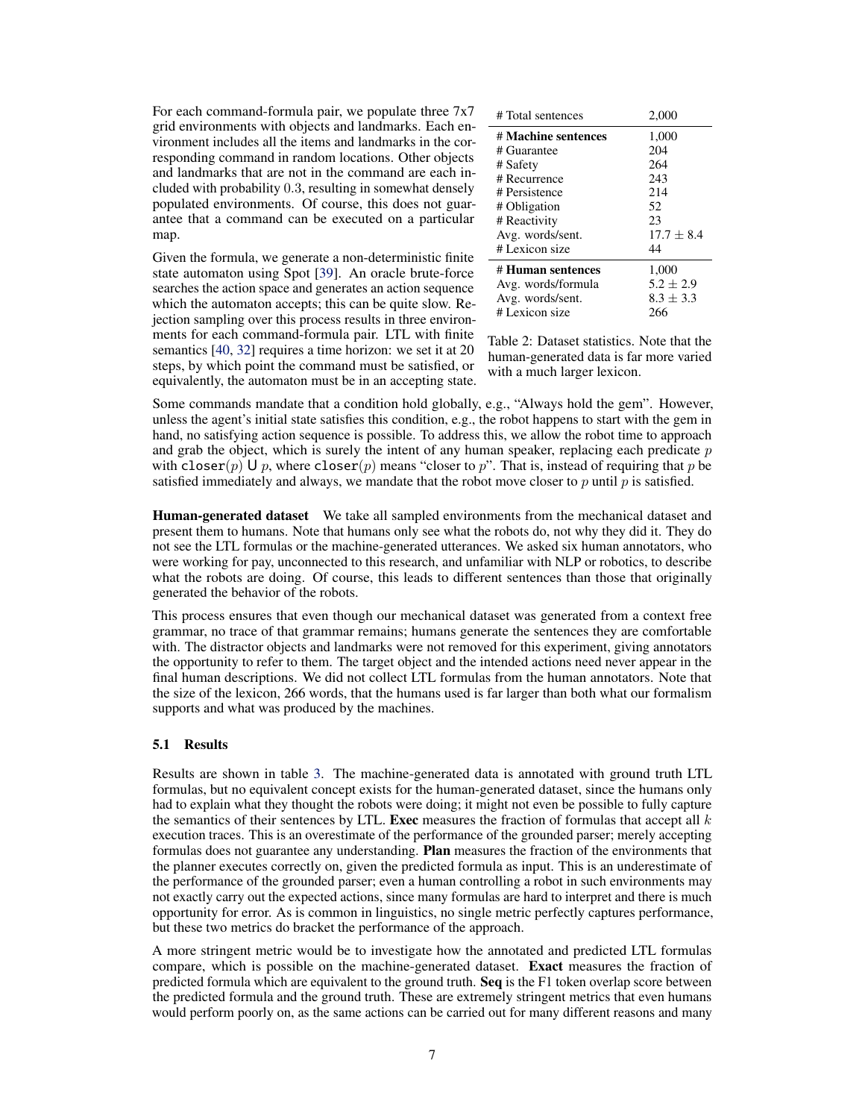#### 4.1 Reinforcement Learning

In the reinforcement learning setting, our objective is to maximize the expected reward, marginalizing over the space of possible formulas:  $J_{RL} = \sum_{x} \sum_{z} R(z) p_{\theta} (\hat{\mathbf{z}} | \mathbf{x})$ . We use the REINFORCE algorithm [\[35\]](#page-10-0) to learn the policy parameters with Monte-Carlo sampling. For better exploration, we use  $\epsilon$ -dithering when sampling as described in [3.1.](#page-4-0) To incorporate the generator, we optimize a linear combination of this reward and the reconstruction loss,  $J_{GEN} = -\sum_{\mathbf{x}} \log p(\mathbf{x} \mid \mathbf{x}; \theta_{GEN})$ , so that  $J = J_{RL} + \alpha J_{GEN}$ . We adjust  $\alpha$  at training time to balance the two components. In particular, it is important to start with a small  $\alpha$  initially, since  $J_{RL}$  is small when  $\theta$  is untrained and few candidate formulas have non-zero reward.

#### 4.2 Iterative Maximum Likelihood

Iterative Maximum Likelihood, IML has proven itself to be as efficient if not more efficient when acquiring semantic parsers compared to RL. We adopt a method similar to that of [\[9\]](#page-9-0) and [\[11\]](#page-9-0). First, we explore the output space by sampling  $K$  formulas from the parser. We keep the highest reward formulas  $\hat{z}^*$  and use them as a pseudo-gold. We then maximize the likelihood of the pseudo-gold formulas over the course of 10 epochs:  $J_{IML} = \sum_{\mathbf{x}} \sum_{i} \log p(\hat{\mathbf{z}}_i^* | \mathbf{x}; \theta_{\text{parse}})$ . To incorporate the generator, we again combine the two objective functions, but this time no scaling parameter is required:  $J = J_{IML} + J_{GEN}$ . Sampling and MLE steps are then iterated.

#### 5 Experiments

We test the parser in two experiments. The first verifies that machine-generated natural-language commands derived from LTL formulas can be understood and followed by a trained agent in a way that reflects the formula correctly. The second verifies that our model can 1) understand sentences produced by humans which describe a given behavior and 2) express a plan in LTL that will result in this behavior. Note that the humans never see the LTL formulas; they produce natural language descriptions for the behavior of robots.

In all cases, our model has the same hyperparameters. The stacked LSTMs all have two layers with hidden dimensions of size 1000 and dropout probability 0.2. We use Adam with learning rate  $1e - 3$ . REINFORCE and IML both sample 128 formulas to compute the expectation and generate sentences for the next iteration with  $\epsilon = 0.15$  when exploring. We train using  $k = 3$  trajectories for 50 epochs. Results are reported for the model with highest validation set performance as measured by the Exec metric, see section [5.1.](#page-7-0) At test time, we decode using a beam search with width 10.

Temporal Phenomena Most randomly generated LTL formulas are uninteresting, similar to the way in which most instances of the boolean satisfiability problem SAT are uninteresting [\[36\]](#page-10-0). To avoid such issues, we adopt the standard classification of LTL formulas produced by Manna and Pnueli [\[37\]](#page-10-0) and generate formulas in their six partially-overlapping categories: *safety*, *guarantee*, *persistence*, *recurrence*, *obligation*, and *reactivity*. Respectively, *safety*, *guarantee*, *persistence*, and *recurrence*, ensure that a property will always hold, will hold at least once, will always hold after a certain point, or will hold at repeated points in time. *Obligation* and *reactivity* are compound classes formed by unrestricted boolean combinations of the safety and recurrence classes respectively. While we adopt the LTL over finite sequences,  $LTL<sub>f</sub>$  as described by De Giacomo and Vardi [\[32\]](#page-10-0), the target formalism uses the  $\Diamond$  *eventually* and  $\Box$  *always* temporal operators rather than  $\Diamond$  *next* to readily generate instances of the Manna and Pnueli [\[37\]](#page-10-0) classes. Since we found humans to be very unlikely to spontaneously generate sentences that required negation, it was not included. The components of the target formalism are shown in section [3.1.](#page-5-0)

Mechanical dataset We collect two sets of data. The first, a mechanically-generated dataset, consists of 1,000 natural language sentences paired with 3,000 execution traces, 3 per example, with a 70/15/15 training/val/test split. All commands and environments are given in the context of the Minecraft-like CRAFT environment, which we adapt from Andreas et al. [\[4\]](#page-9-0) and Kuo et al. [\[3\]](#page-9-0).

Following Jia and Liang [\[38\]](#page-10-0) and Goldman et al. [\[20\]](#page-10-0), we generate sentences and formulas by randomly and uniformly sampling productions and terminals from a synchronous context-free grammar (Appendix [A\)](#page-11-0).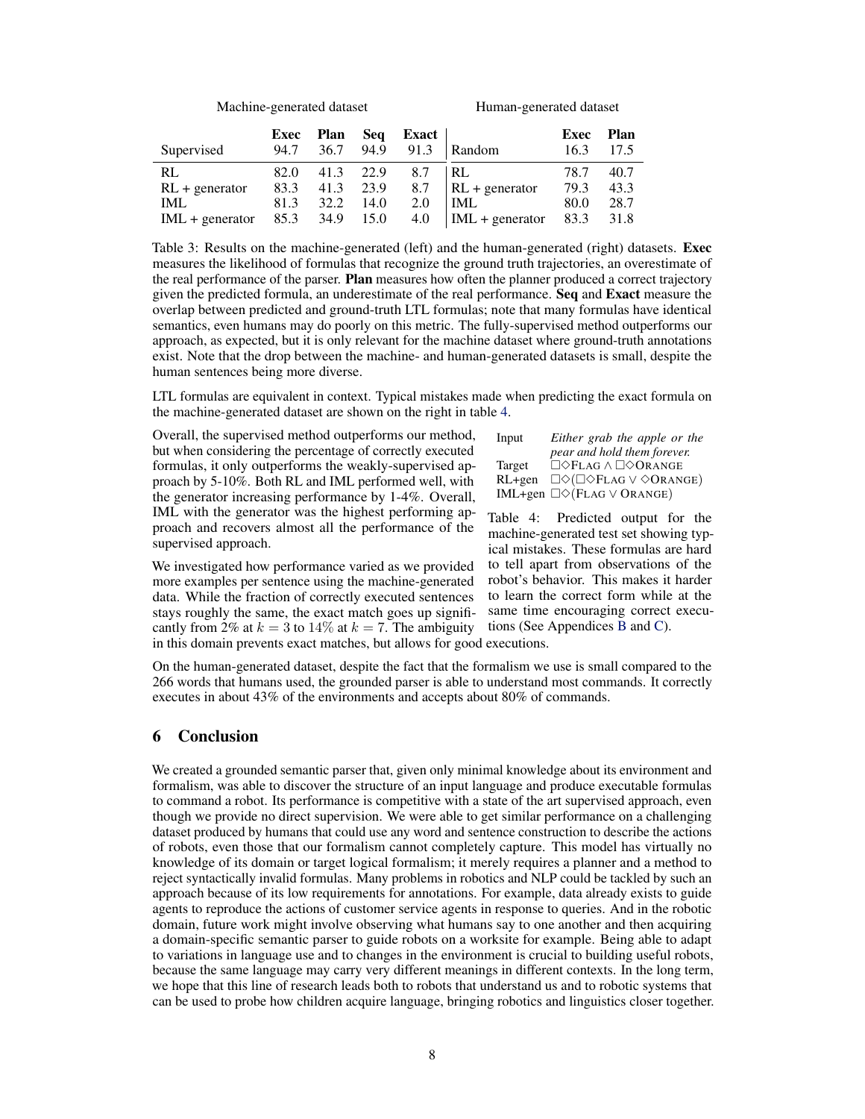<span id="page-7-0"></span>For each command-formula pair, we populate three 7x7 grid environments with objects and landmarks. Each environment includes all the items and landmarks in the corresponding command in random locations. Other objects and landmarks that are not in the command are each included with probability 0.3, resulting in somewhat densely populated environments. Of course, this does not guarantee that a command can be executed on a particular map.

Given the formula, we generate a non-deterministic finite state automaton using Spot [\[39\]](#page-10-0). An oracle brute-force searches the action space and generates an action sequence which the automaton accepts; this can be quite slow. Rejection sampling over this process results in three environments for each command-formula pair. LTL with finite semantics [\[40,](#page-10-0) [32\]](#page-10-0) requires a time horizon: we set it at 20 steps, by which point the command must be satisfied, or equivalently, the automaton must be in an accepting state.

| # Total sentences   | 2,000         |
|---------------------|---------------|
| # Machine sentences | 1,000         |
| # Guarantee         | 204           |
| # Safety            | 264           |
| # Recurrence        | 243           |
| # Persistence       | 214           |
| # Obligation        | 52            |
| # Reactivity        | 23            |
| Avg. words/sent.    | $17.7 + 8.4$  |
| # Lexicon size      | 44            |
| # Human sentences   | 1,000         |
| Avg. words/formula  | $5.2 + 2.9$   |
| Avg. words/sent.    | $8.3 \pm 3.3$ |
| # Lexicon size      | 266           |

Table 2: Dataset statistics. Note that the human-generated data is far more varied with a much larger lexicon.

Some commands mandate that a condition hold globally, e.g., "Always hold the gem". However, unless the agent's initial state satisfies this condition, e.g., the robot happens to start with the gem in hand, no satisfying action sequence is possible. To address this, we allow the robot time to approach and grab the object, which is surely the intent of any human speaker, replacing each predicate  $p$ with closer(p) U p, where closer(p) means "closer to p". That is, instead of requiring that p be satisfied immediately and always, we mandate that the robot move closer to  $p$  until  $p$  is satisfied.

Human-generated dataset We take all sampled environments from the mechanical dataset and present them to humans. Note that humans only see what the robots do, not why they did it. They do not see the LTL formulas or the machine-generated utterances. We asked six human annotators, who were working for pay, unconnected to this research, and unfamiliar with NLP or robotics, to describe what the robots are doing. Of course, this leads to different sentences than those that originally generated the behavior of the robots.

This process ensures that even though our mechanical dataset was generated from a context free grammar, no trace of that grammar remains; humans generate the sentences they are comfortable with. The distractor objects and landmarks were not removed for this experiment, giving annotators the opportunity to refer to them. The target object and the intended actions need never appear in the final human descriptions. We did not collect LTL formulas from the human annotators. Note that the size of the lexicon, 266 words, that the humans used is far larger than both what our formalism supports and what was produced by the machines.

#### 5.1 Results

Results are shown in table [3.](#page-8-0) The machine-generated data is annotated with ground truth LTL formulas, but no equivalent concept exists for the human-generated dataset, since the humans only had to explain what they thought the robots were doing; it might not even be possible to fully capture the semantics of their sentences by LTL. Exec measures the fraction of formulas that accept all  $k$ execution traces. This is an overestimate of the performance of the grounded parser; merely accepting formulas does not guarantee any understanding. Plan measures the fraction of the environments that the planner executes correctly on, given the predicted formula as input. This is an underestimate of the performance of the grounded parser; even a human controlling a robot in such environments may not exactly carry out the expected actions, since many formulas are hard to interpret and there is much opportunity for error. As is common in linguistics, no single metric perfectly captures performance, but these two metrics do bracket the performance of the approach.

A more stringent metric would be to investigate how the annotated and predicted LTL formulas compare, which is possible on the machine-generated dataset. Exact measures the fraction of predicted formula which are equivalent to the ground truth. Seq is the  $F1$  token overlap score between the predicted formula and the ground truth. These are extremely stringent metrics that even humans would perform poorly on, as the same actions can be carried out for many different reasons and many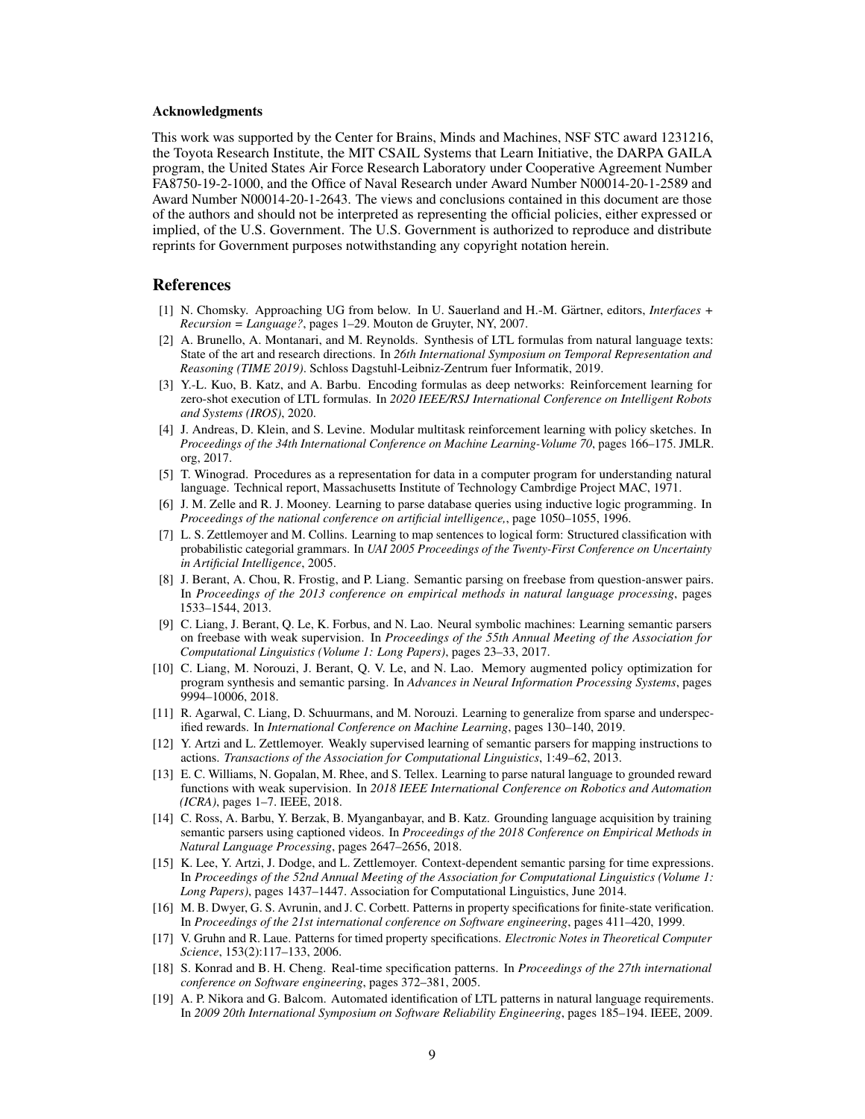<span id="page-8-0"></span>

|                  | Machine-generated dataset | Human-generated dataset |           |                       |                        |              |                     |
|------------------|---------------------------|-------------------------|-----------|-----------------------|------------------------|--------------|---------------------|
| Supervised       | Exec<br>94.7              | Plan Seq<br>36.7        | 94.9      | Exact $\vert$<br>91.3 | Random                 | Exec<br>16.3 | <b>Plan</b><br>17.5 |
| RL               | 82.0                      |                         | 41.3 22.9 | 8.7                   | RL                     | 78.7         | 40.7                |
| $RL + generator$ | 83.3                      |                         | 41.3 23.9 | 8.7                   | $\vert$ RL + generator | 79.3         | 43.3                |

Table 3: Results on the machine-generated (left) and the human-generated (right) datasets. Exec measures the likelihood of formulas that recognize the ground truth trajectories, an overestimate of the real performance of the parser. **Plan** measures how often the planner produced a correct trajectory given the predicted formula, an underestimate of the real performance. Seq and Exact measure the overlap between predicted and ground-truth LTL formulas; note that many formulas have identical semantics, even humans may do poorly on this metric. The fully-supervised method outperforms our approach, as expected, but it is only relevant for the machine dataset where ground-truth annotations exist. Note that the drop between the machine- and human-generated datasets is small, despite the human sentences being more diverse.

LTL formulas are equivalent in context. Typical mistakes made when predicting the exact formula on the machine-generated dataset are shown on the right in table 4.

Overall, the supervised method outperforms our method, but when considering the percentage of correctly executed formulas, it only outperforms the weakly-supervised approach by 5-10%. Both RL and IML performed well, with the generator increasing performance by 1-4%. Overall, IML with the generator was the highest performing approach and recovers almost all the performance of the supervised approach.

IML 81.3 32.2 14.0 2.0 IML + generator 85.3 34.9 15.0 4.0

We investigated how performance varied as we provided more examples per sentence using the machine-generated data. While the fraction of correctly executed sentences stays roughly the same, the exact match goes up significantly from 2% at  $k = 3$  to 14% at  $k = 7$ . The ambiguity in this domain prevents exact matches, but allows for good executions.

| Input  | Either grab the apple or the                                                    |
|--------|---------------------------------------------------------------------------------|
|        | pear and hold them forever.                                                     |
| Target | $\Box \Diamond$ FLAG $\land$ $\Box \Diamond$ ORANGE                             |
| RL+gen | $\Box \Diamond (\Box \Diamond F \Box \Box G \vee \Diamond OR \angle \Diamond G$ |
|        | IML+gen $\Box \Diamond$ (FLAG $\lor$ ORANGE)                                    |

IML 80.0 28.7  $|IML + generator$  83.3 31.8

> Table 4: Predicted output for the machine-generated test set showing typical mistakes. These formulas are hard to tell apart from observations of the robot's behavior. This makes it harder to learn the correct form while at the same time encouraging correct executions (See Appendices [B](#page-12-0) and [C\)](#page-12-0).

On the human-generated dataset, despite the fact that the formalism we use is small compared to the 266 words that humans used, the grounded parser is able to understand most commands. It correctly executes in about 43% of the environments and accepts about 80% of commands.

# 6 Conclusion

We created a grounded semantic parser that, given only minimal knowledge about its environment and formalism, was able to discover the structure of an input language and produce executable formulas to command a robot. Its performance is competitive with a state of the art supervised approach, even though we provide no direct supervision. We were able to get similar performance on a challenging dataset produced by humans that could use any word and sentence construction to describe the actions of robots, even those that our formalism cannot completely capture. This model has virtually no knowledge of its domain or target logical formalism; it merely requires a planner and a method to reject syntactically invalid formulas. Many problems in robotics and NLP could be tackled by such an approach because of its low requirements for annotations. For example, data already exists to guide agents to reproduce the actions of customer service agents in response to queries. And in the robotic domain, future work might involve observing what humans say to one another and then acquiring a domain-specific semantic parser to guide robots on a worksite for example. Being able to adapt to variations in language use and to changes in the environment is crucial to building useful robots, because the same language may carry very different meanings in different contexts. In the long term, we hope that this line of research leads both to robots that understand us and to robotic systems that can be used to probe how children acquire language, bringing robotics and linguistics closer together.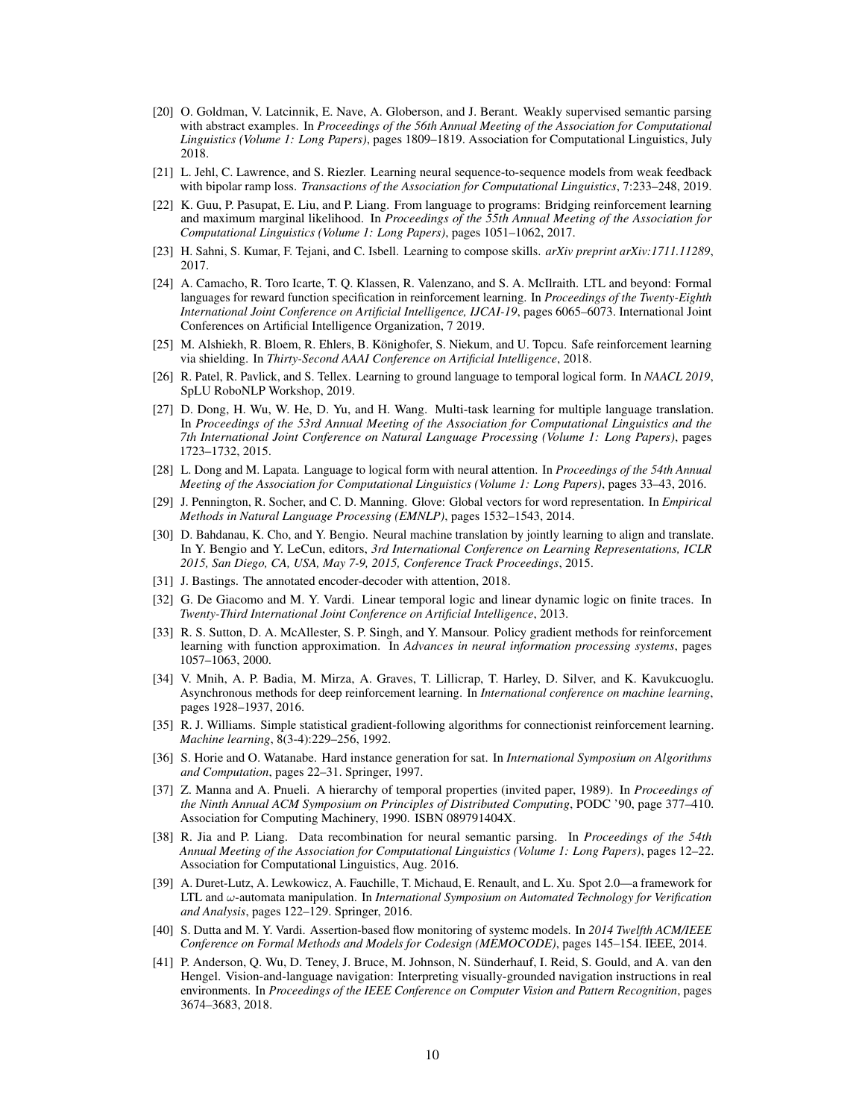#### <span id="page-9-0"></span>Acknowledgments

This work was supported by the Center for Brains, Minds and Machines, NSF STC award 1231216, the Toyota Research Institute, the MIT CSAIL Systems that Learn Initiative, the DARPA GAILA program, the United States Air Force Research Laboratory under Cooperative Agreement Number FA8750-19-2-1000, and the Office of Naval Research under Award Number N00014-20-1-2589 and Award Number N00014-20-1-2643. The views and conclusions contained in this document are those of the authors and should not be interpreted as representing the official policies, either expressed or implied, of the U.S. Government. The U.S. Government is authorized to reproduce and distribute reprints for Government purposes notwithstanding any copyright notation herein.

#### References

- [1] N. Chomsky. Approaching UG from below. In U. Sauerland and H.-M. Gärtner, editors, *Interfaces* + *Recursion = Language?*, pages 1–29. Mouton de Gruyter, NY, 2007.
- [2] A. Brunello, A. Montanari, and M. Reynolds. Synthesis of LTL formulas from natural language texts: State of the art and research directions. In *26th International Symposium on Temporal Representation and Reasoning (TIME 2019)*. Schloss Dagstuhl-Leibniz-Zentrum fuer Informatik, 2019.
- [3] Y.-L. Kuo, B. Katz, and A. Barbu. Encoding formulas as deep networks: Reinforcement learning for zero-shot execution of LTL formulas. In *2020 IEEE/RSJ International Conference on Intelligent Robots and Systems (IROS)*, 2020.
- [4] J. Andreas, D. Klein, and S. Levine. Modular multitask reinforcement learning with policy sketches. In *Proceedings of the 34th International Conference on Machine Learning-Volume 70*, pages 166–175. JMLR. org, 2017.
- [5] T. Winograd. Procedures as a representation for data in a computer program for understanding natural language. Technical report, Massachusetts Institute of Technology Cambrdige Project MAC, 1971.
- [6] J. M. Zelle and R. J. Mooney. Learning to parse database queries using inductive logic programming. In *Proceedings of the national conference on artificial intelligence,*, page 1050–1055, 1996.
- [7] L. S. Zettlemoyer and M. Collins. Learning to map sentences to logical form: Structured classification with probabilistic categorial grammars. In *UAI 2005 Proceedings of the Twenty-First Conference on Uncertainty in Artificial Intelligence*, 2005.
- [8] J. Berant, A. Chou, R. Frostig, and P. Liang. Semantic parsing on freebase from question-answer pairs. In *Proceedings of the 2013 conference on empirical methods in natural language processing*, pages 1533–1544, 2013.
- [9] C. Liang, J. Berant, Q. Le, K. Forbus, and N. Lao. Neural symbolic machines: Learning semantic parsers on freebase with weak supervision. In *Proceedings of the 55th Annual Meeting of the Association for Computational Linguistics (Volume 1: Long Papers)*, pages 23–33, 2017.
- [10] C. Liang, M. Norouzi, J. Berant, Q. V. Le, and N. Lao. Memory augmented policy optimization for program synthesis and semantic parsing. In *Advances in Neural Information Processing Systems*, pages 9994–10006, 2018.
- [11] R. Agarwal, C. Liang, D. Schuurmans, and M. Norouzi. Learning to generalize from sparse and underspecified rewards. In *International Conference on Machine Learning*, pages 130–140, 2019.
- [12] Y. Artzi and L. Zettlemoyer. Weakly supervised learning of semantic parsers for mapping instructions to actions. *Transactions of the Association for Computational Linguistics*, 1:49–62, 2013.
- [13] E. C. Williams, N. Gopalan, M. Rhee, and S. Tellex. Learning to parse natural language to grounded reward functions with weak supervision. In *2018 IEEE International Conference on Robotics and Automation (ICRA)*, pages 1–7. IEEE, 2018.
- [14] C. Ross, A. Barbu, Y. Berzak, B. Myanganbayar, and B. Katz. Grounding language acquisition by training semantic parsers using captioned videos. In *Proceedings of the 2018 Conference on Empirical Methods in Natural Language Processing*, pages 2647–2656, 2018.
- [15] K. Lee, Y. Artzi, J. Dodge, and L. Zettlemoyer. Context-dependent semantic parsing for time expressions. In *Proceedings of the 52nd Annual Meeting of the Association for Computational Linguistics (Volume 1: Long Papers)*, pages 1437–1447. Association for Computational Linguistics, June 2014.
- [16] M. B. Dwyer, G. S. Avrunin, and J. C. Corbett. Patterns in property specifications for finite-state verification. In *Proceedings of the 21st international conference on Software engineering*, pages 411–420, 1999.
- [17] V. Gruhn and R. Laue. Patterns for timed property specifications. *Electronic Notes in Theoretical Computer Science*, 153(2):117–133, 2006.
- [18] S. Konrad and B. H. Cheng. Real-time specification patterns. In *Proceedings of the 27th international conference on Software engineering*, pages 372–381, 2005.
- [19] A. P. Nikora and G. Balcom. Automated identification of LTL patterns in natural language requirements. In *2009 20th International Symposium on Software Reliability Engineering*, pages 185–194. IEEE, 2009.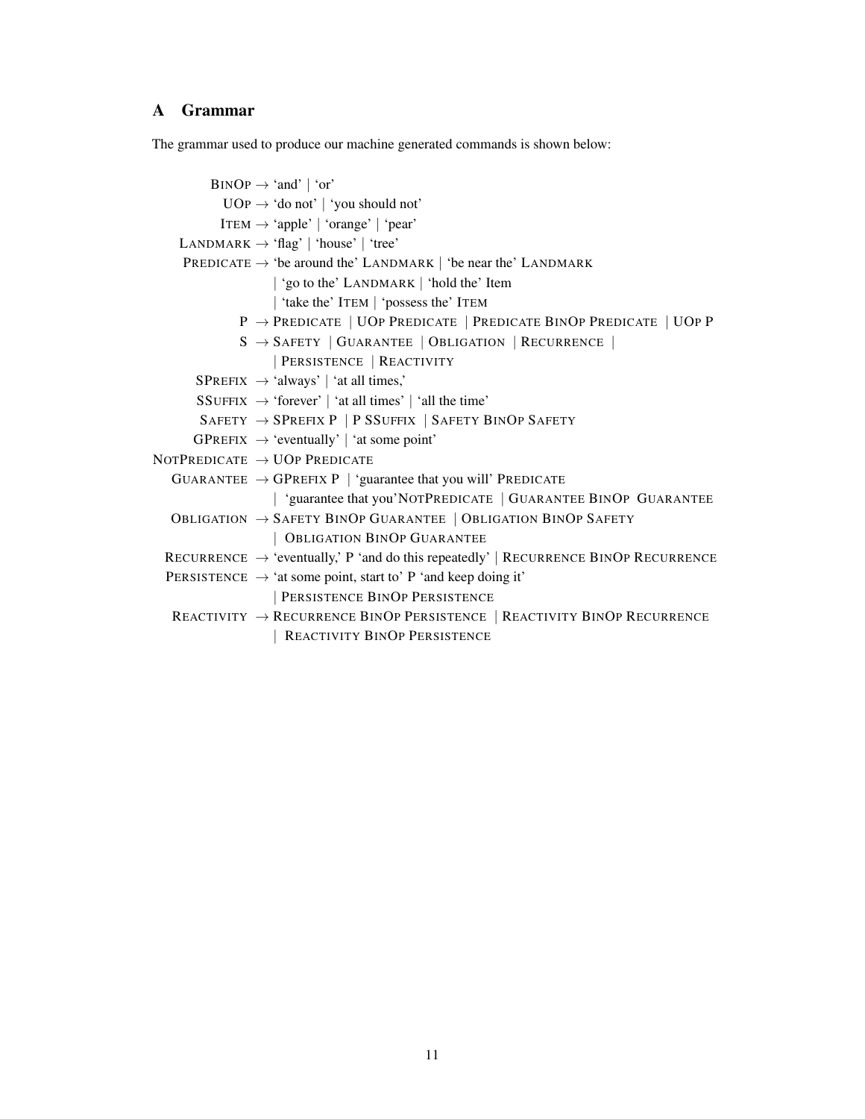- <span id="page-10-0"></span>[20] O. Goldman, V. Latcinnik, E. Nave, A. Globerson, and J. Berant. Weakly supervised semantic parsing with abstract examples. In *Proceedings of the 56th Annual Meeting of the Association for Computational Linguistics (Volume 1: Long Papers)*, pages 1809–1819. Association for Computational Linguistics, July 2018.
- [21] L. Jehl, C. Lawrence, and S. Riezler. Learning neural sequence-to-sequence models from weak feedback with bipolar ramp loss. *Transactions of the Association for Computational Linguistics*, 7:233–248, 2019.
- [22] K. Guu, P. Pasupat, E. Liu, and P. Liang. From language to programs: Bridging reinforcement learning and maximum marginal likelihood. In *Proceedings of the 55th Annual Meeting of the Association for Computational Linguistics (Volume 1: Long Papers)*, pages 1051–1062, 2017.
- [23] H. Sahni, S. Kumar, F. Tejani, and C. Isbell. Learning to compose skills. *arXiv preprint arXiv:1711.11289*, 2017.
- [24] A. Camacho, R. Toro Icarte, T. Q. Klassen, R. Valenzano, and S. A. McIlraith. LTL and beyond: Formal languages for reward function specification in reinforcement learning. In *Proceedings of the Twenty-Eighth International Joint Conference on Artificial Intelligence, IJCAI-19*, pages 6065–6073. International Joint Conferences on Artificial Intelligence Organization, 7 2019.
- [25] M. Alshiekh, R. Bloem, R. Ehlers, B. Könighofer, S. Niekum, and U. Topcu. Safe reinforcement learning via shielding. In *Thirty-Second AAAI Conference on Artificial Intelligence*, 2018.
- [26] R. Patel, R. Pavlick, and S. Tellex. Learning to ground language to temporal logical form. In *NAACL 2019*, SpLU RoboNLP Workshop, 2019.
- [27] D. Dong, H. Wu, W. He, D. Yu, and H. Wang. Multi-task learning for multiple language translation. In *Proceedings of the 53rd Annual Meeting of the Association for Computational Linguistics and the 7th International Joint Conference on Natural Language Processing (Volume 1: Long Papers)*, pages 1723–1732, 2015.
- [28] L. Dong and M. Lapata. Language to logical form with neural attention. In *Proceedings of the 54th Annual Meeting of the Association for Computational Linguistics (Volume 1: Long Papers)*, pages 33–43, 2016.
- [29] J. Pennington, R. Socher, and C. D. Manning. Glove: Global vectors for word representation. In *Empirical Methods in Natural Language Processing (EMNLP)*, pages 1532–1543, 2014.
- [30] D. Bahdanau, K. Cho, and Y. Bengio. Neural machine translation by jointly learning to align and translate. In Y. Bengio and Y. LeCun, editors, *3rd International Conference on Learning Representations, ICLR 2015, San Diego, CA, USA, May 7-9, 2015, Conference Track Proceedings*, 2015.
- [31] J. Bastings. The annotated encoder-decoder with attention, 2018.
- [32] G. De Giacomo and M. Y. Vardi. Linear temporal logic and linear dynamic logic on finite traces. In *Twenty-Third International Joint Conference on Artificial Intelligence*, 2013.
- [33] R. S. Sutton, D. A. McAllester, S. P. Singh, and Y. Mansour. Policy gradient methods for reinforcement learning with function approximation. In *Advances in neural information processing systems*, pages 1057–1063, 2000.
- [34] V. Mnih, A. P. Badia, M. Mirza, A. Graves, T. Lillicrap, T. Harley, D. Silver, and K. Kavukcuoglu. Asynchronous methods for deep reinforcement learning. In *International conference on machine learning*, pages 1928–1937, 2016.
- [35] R. J. Williams. Simple statistical gradient-following algorithms for connectionist reinforcement learning. *Machine learning*, 8(3-4):229–256, 1992.
- [36] S. Horie and O. Watanabe. Hard instance generation for sat. In *International Symposium on Algorithms and Computation*, pages 22–31. Springer, 1997.
- [37] Z. Manna and A. Pnueli. A hierarchy of temporal properties (invited paper, 1989). In *Proceedings of the Ninth Annual ACM Symposium on Principles of Distributed Computing*, PODC '90, page 377–410. Association for Computing Machinery, 1990. ISBN 089791404X.
- [38] R. Jia and P. Liang. Data recombination for neural semantic parsing. In *Proceedings of the 54th Annual Meeting of the Association for Computational Linguistics (Volume 1: Long Papers)*, pages 12–22. Association for Computational Linguistics, Aug. 2016.
- [39] A. Duret-Lutz, A. Lewkowicz, A. Fauchille, T. Michaud, E. Renault, and L. Xu. Spot 2.0—a framework for LTL and ω-automata manipulation. In *International Symposium on Automated Technology for Verification and Analysis*, pages 122–129. Springer, 2016.
- [40] S. Dutta and M. Y. Vardi. Assertion-based flow monitoring of systemc models. In *2014 Twelfth ACM/IEEE Conference on Formal Methods and Models for Codesign (MEMOCODE)*, pages 145–154. IEEE, 2014.
- [41] P. Anderson, Q. Wu, D. Teney, J. Bruce, M. Johnson, N. Sünderhauf, I. Reid, S. Gould, and A. van den Hengel. Vision-and-language navigation: Interpreting visually-grounded navigation instructions in real environments. In *Proceedings of the IEEE Conference on Computer Vision and Pattern Recognition*, pages 3674–3683, 2018.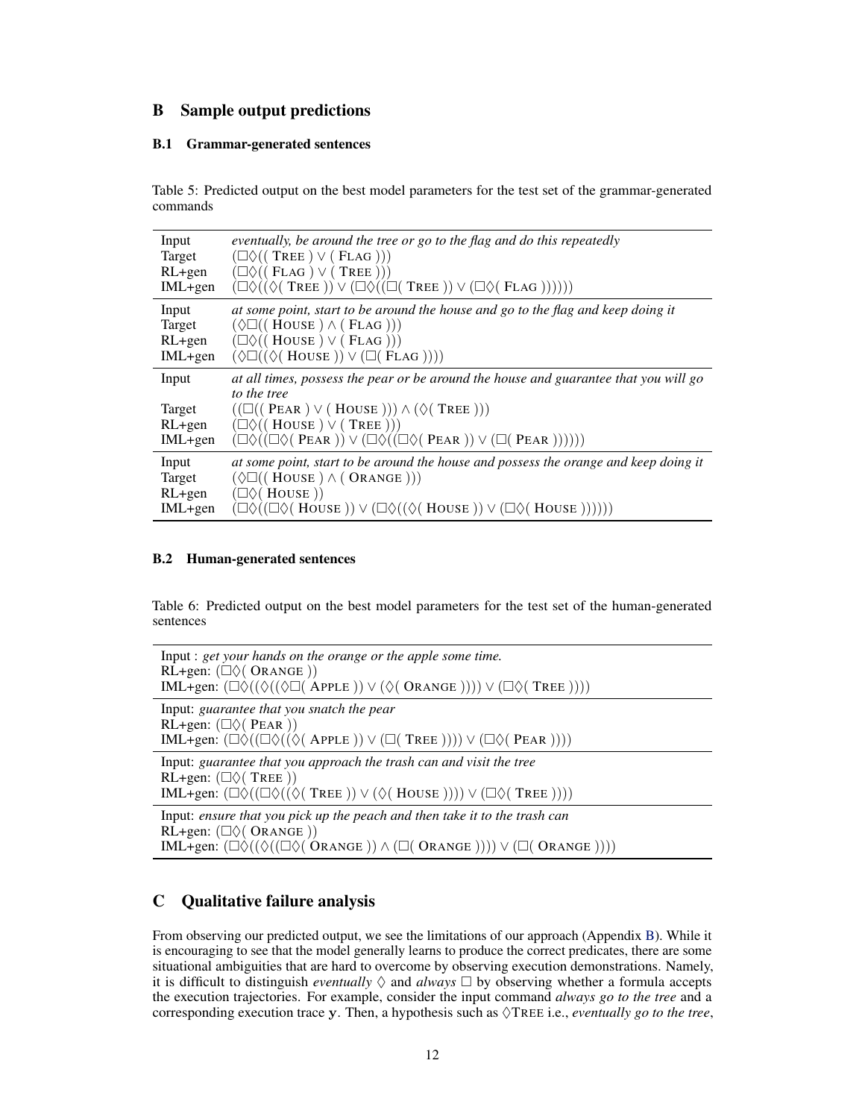# <span id="page-11-0"></span>A Grammar

The grammar used to produce our machine generated commands is shown below:

 $\text{BINOP} \rightarrow \text{`and'} | \text{`or'}$  $UOP \rightarrow 'do not'$  | 'you should not' ITEM  $\rightarrow$  'apple' | 'orange' | 'pear' LANDMARK  $\rightarrow$  'flag' | 'house' | 'tree' PREDICATE  $\rightarrow$  'be around the' LANDMARK | 'be near the' LANDMARK | 'go to the' LANDMARK | 'hold the' Item | 'take the' ITEM | 'possess the' ITEM P → PREDICATE | UOP PREDICATE | PREDICATE BINOP PREDICATE | UOP P  $S \rightarrow$  SAFETY | GUARANTEE | OBLIGATION | RECURRENCE | | PERSISTENCE | REACTIVITY  $SPREFIX \rightarrow 'always'$  | 'at all times,'  $SSUFFIX \rightarrow 'forever'$  | 'at all times' | 'all the time'  $S$ AFETY  $\rightarrow$  SPREFIX P | P SSUFFIX | SAFETY BINOP SAFETY  $GPREFIX \rightarrow 'eventually' | 'at some point'$ NOTPREDICATE → UOP PREDICATE GUARANTEE  $\rightarrow$  GPREFIX P | 'guarantee that you will' PREDICATE | 'guarantee that you'NOTPREDICATE | GUARANTEE BINOP GUARANTEE OBLIGATION → SAFETY BINOP GUARANTEE | OBLIGATION BINOP SAFETY | OBLIGATION BINOP GUARANTEE RECURRENCE  $\rightarrow$  'eventually,' P 'and do this repeatedly' | RECURRENCE BINOP RECURRENCE PERSISTENCE  $\rightarrow$  'at some point, start to' P 'and keep doing it' | PERSISTENCE BINOP PERSISTENCE REACTIVITY  $\rightarrow$  RECURRENCE BINOP PERSISTENCE | REACTIVITY BINOP RECURRENCE | REACTIVITY BINOP PERSISTENCE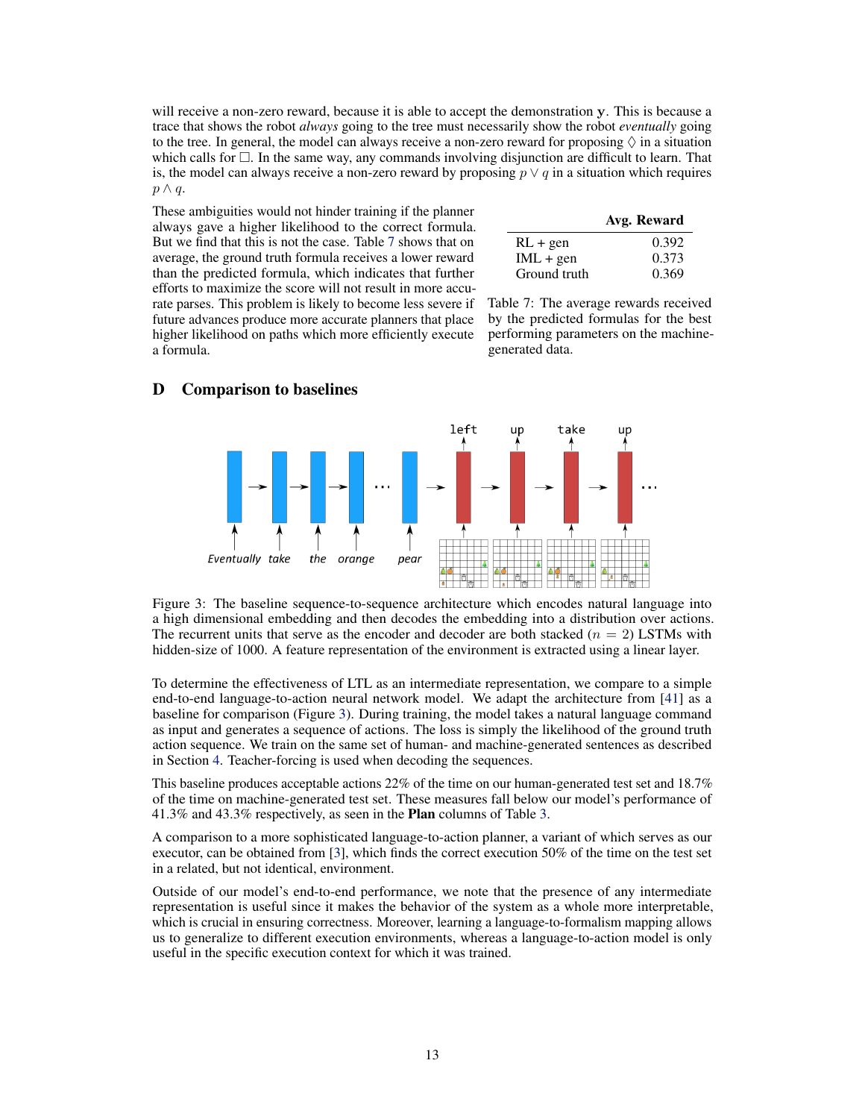# <span id="page-12-0"></span>B Sample output predictions

#### B.1 Grammar-generated sentences

Table 5: Predicted output on the best model parameters for the test set of the grammar-generated commands

| Input     | eventually, be around the tree or go to the flag and do this repeatedly                                                                    |
|-----------|--------------------------------------------------------------------------------------------------------------------------------------------|
| Target    | $(\Box \Diamond (( \text{ TREE } ) \vee ( \text{FLAG } )))$                                                                                |
| $RL+gen$  | $(\Box \Diamond (($ FLAG) $\lor$ (TREE)))                                                                                                  |
| $IML+gen$ | $(\Box \Diamond ((\Diamond (\text{Tree })) \vee (\Box \Diamond ((\Box (\text{Tree })) \vee (\Box \Diamond (\text{FLAG}))))))$              |
| Input     | at some point, start to be around the house and go to the flag and keep doing it                                                           |
| Target    | $(\Diamond \Box ((\text{House}) \land (\text{ELAG})))$                                                                                     |
| $RL+gen$  | $(\Box \Diamond ((\text{House } ) \lor (\text{ELAG } )))$                                                                                  |
| $IML+gen$ | $(\Diamond \Box ((\Diamond ( House)) \vee (\Box (FLAG))))$                                                                                 |
| Input     | at all times, possess the pear or be around the house and guarantee that you will go<br>to the tree                                        |
| Target    | $((\Box((\text{PER}) \vee (\text{House}))) \wedge (\Diamond(\text{Tree})))$                                                                |
| $RL+gen$  | $(\Box \Diamond ((\text{House } ) \lor (\text{Tree } )))$                                                                                  |
| $IML+gen$ | $(\Box \Diamond ((\Box \Diamond (PERN)) \vee (\Box \Diamond ((\Box \Diamond (PERN)) \vee (\Box (PERN)))))))$                               |
| Input     | at some point, start to be around the house and possess the orange and keep doing it                                                       |
| Target    | $(\Diamond \Box ((\text{House}) \land (\text{ORANGE})))$                                                                                   |
| $RL+gen$  | $(\Box \Diamond ($ House $))$                                                                                                              |
| $IML+gen$ | $(\Box \Diamond ((\Box \Diamond (\text{House })) \vee (\Box \Diamond ((\Diamond (\text{House })) \vee (\Box \Diamond (\text{House }))))))$ |

#### B.2 Human-generated sentences

Table 6: Predicted output on the best model parameters for the test set of the human-generated sentences

| Input : get your hands on the orange or the apple some time.<br>RL+gen: $(\Box \Diamond ( \text{ ORANGE } ))$<br>IML+gen: $(\Box \Diamond ((\Diamond (\Box (APPLE)) \vee (\Diamond (ORANGE)))) \vee (\Box \Diamond (TREE))))$                                         |
|-----------------------------------------------------------------------------------------------------------------------------------------------------------------------------------------------------------------------------------------------------------------------|
| Input: guarantee that you snatch the pear<br>RL+gen: $(\Box \Diamond (PER))$<br>IML+gen: $(\Box \Diamond ((\Box \Diamond ((\Diamond (APPLE)) \vee (\Box (TREE)))) \vee (\Box \Diamond (PERR))))$                                                                      |
| Input: guarantee that you approach the trash can and visit the tree<br>RL+gen: $(\Box \Diamond ( \text{ TREE } ))$<br>IML+gen: $(\Box \Diamond ((\Box \Diamond ((\Diamond ( \text{Tree })) \vee (\Diamond ( \text{House })))) \vee (\Box \Diamond ( \text{Tree }))))$ |
| Input: ensure that you pick up the peach and then take it to the trash can<br>RL+gen: $(\Box \Diamond ( \text{ ORANGE } ))$<br>IML+gen: $(\Box \Diamond ((\Diamond ((\Box \Diamond (ORANGE))) \land (\Box (ORANGE)))) \lor (\Box (ORANGE))))$                         |

# C Qualitative failure analysis

From observing our predicted output, we see the limitations of our approach (Appendix B). While it is encouraging to see that the model generally learns to produce the correct predicates, there are some situational ambiguities that are hard to overcome by observing execution demonstrations. Namely, it is difficult to distinguish *eventually*  $\Diamond$  and *always*  $\Box$  by observing whether a formula accepts the execution trajectories. For example, consider the input command *always go to the tree* and a corresponding execution trace y. Then, a hypothesis such as  $\Diamond$ TREE i.e., *eventually go to the tree*,